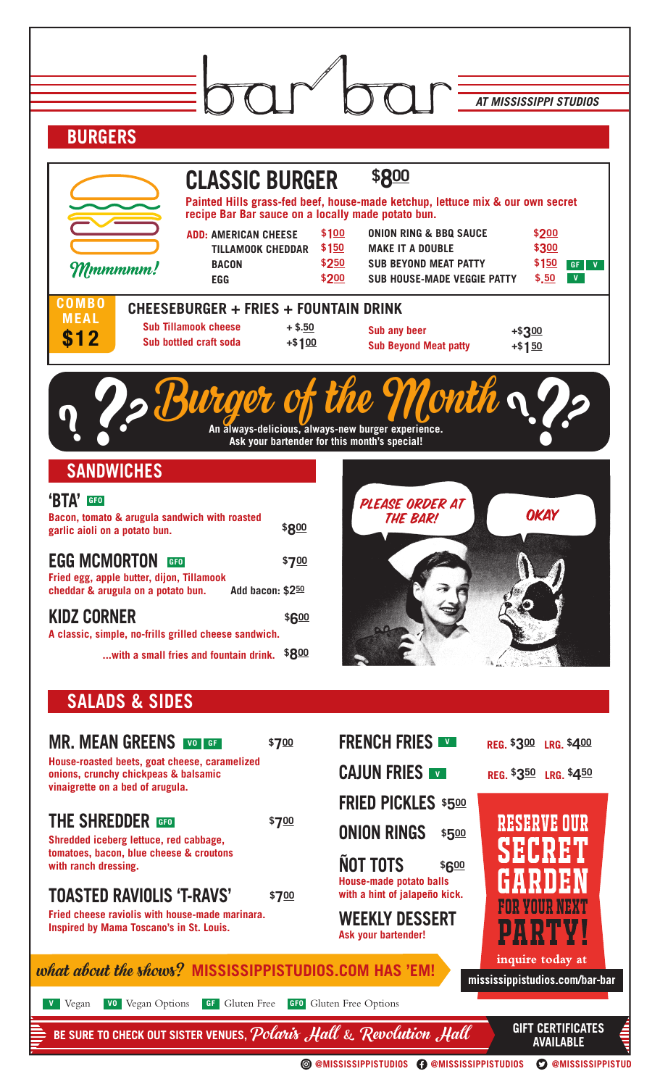|                                                                                                     | <b>AT MISSISSIPPI STUDIOS</b>                                                                      |                                              |  |
|-----------------------------------------------------------------------------------------------------|----------------------------------------------------------------------------------------------------|----------------------------------------------|--|
| <b>BURGERS</b>                                                                                      |                                                                                                    |                                              |  |
|                                                                                                     |                                                                                                    |                                              |  |
| <b>CLASSIC BURGER</b>                                                                               | \$800                                                                                              |                                              |  |
| recipe Bar Bar sauce on a locally made potato bun.                                                  | Painted Hills grass-fed beef, house-made ketchup, lettuce mix & our own secret                     |                                              |  |
| <b>ADD: AMERICAN CHEESE</b>                                                                         | \$100<br><b>ONION RING &amp; BBQ SAUCE</b><br>\$200                                                |                                              |  |
| <b>TILLAMOOK CHEDDAR</b><br><b>BACON</b><br>Mmmmmm!                                                 | \$150<br><b>MAKE IT A DOUBLE</b><br>\$300<br>\$250<br><b>SUB BEYOND MEAT PATTY</b><br>\$150        | GF V                                         |  |
| <b>EGG</b>                                                                                          | \$200<br>\$.50<br><b>SUB HOUSE-MADE VEGGIE PATTY</b>                                               | V                                            |  |
| <b>COMBO</b><br>CHEESEBURGER + FRIES + FOUNTAIN DRINK<br><b>MEAL</b>                                |                                                                                                    |                                              |  |
| <b>Sub Tillamook cheese</b><br>$+$ \$.50<br>\$12<br>Sub bottled craft soda<br>$+ $100$              | Sub any beer<br>$+ $300$                                                                           |                                              |  |
|                                                                                                     | <b>Sub Beyond Meat patty</b><br>$+ $150$                                                           |                                              |  |
|                                                                                                     |                                                                                                    |                                              |  |
| surger of                                                                                           | Month $\boldsymbol{\gamma}$                                                                        |                                              |  |
|                                                                                                     | An always-delicious, always-new burger experience.<br>Ask your bartender for this month's special! |                                              |  |
|                                                                                                     |                                                                                                    |                                              |  |
| <b>SANDWICHES</b>                                                                                   |                                                                                                    |                                              |  |
| 'BTA'<br><b>GFO</b><br>Bacon, tomato & arugula sandwich with roasted                                | PLEASE ORDER AT<br>OKAY                                                                            |                                              |  |
| \$800<br>garlic aioli on a potato bun.                                                              | THE BAR!                                                                                           |                                              |  |
| <b>EGG MCMORTON</b><br>\$700<br><b>GFO</b>                                                          |                                                                                                    |                                              |  |
| Fried egg, apple butter, dijon, Tillamook<br>Add bacon: \$250<br>cheddar & arugula on a potato bun. |                                                                                                    |                                              |  |
| <b>KIDZ CORNER</b>                                                                                  |                                                                                                    |                                              |  |
| \$600<br>A classic, simple, no-frills grilled cheese sandwich.                                      |                                                                                                    |                                              |  |
| \$800<br>with a small fries and fountain drink.                                                     |                                                                                                    |                                              |  |
|                                                                                                     |                                                                                                    |                                              |  |
| <b>SALADS &amp; SIDES</b>                                                                           |                                                                                                    |                                              |  |
| <b>MR. MEAN GREENS WO GET</b><br>\$700                                                              | <b>FRENCH FRIES</b><br>REG. \$300 LRG. \$400                                                       |                                              |  |
| House-roasted beets, goat cheese, caramelized                                                       | <b>CAJUN FRIES</b>                                                                                 |                                              |  |
| onions, crunchy chickpeas & balsamic<br>vinaigrette on a bed of arugula.                            | REG. \$350 LRG. \$450                                                                              |                                              |  |
| <b>THE SHREDDER</b><br>\$700                                                                        | <b>FRIED PICKLES \$500</b><br><b>RESERVE OUR</b>                                                   |                                              |  |
| Shredded iceberg lettuce, red cabbage,                                                              | <b>ONION RINGS</b><br>\$500                                                                        |                                              |  |
| tomatoes, bacon, blue cheese & croutons<br>with ranch dressing.                                     | SECRETI<br><b>ÑOT TOTS</b><br>\$600                                                                |                                              |  |
| <b>TOASTED RAVIOLIS 'T-RAVS'</b><br>\$700                                                           | House-made potato balls<br>with a hint of jalapeño kick.                                           |                                              |  |
| Fried cheese raviolis with house-made marinara.                                                     | FOR YOUR NEXT<br><b>WEEKLY DESSERT</b>                                                             |                                              |  |
| Inspired by Mama Toscano's in St. Louis.                                                            | Ask your bartender!                                                                                |                                              |  |
| what about the shows? MISSISSIPPISTUDIOS.COM HAS 'EM!                                               | inquire today at                                                                                   |                                              |  |
| mississippistudios.com/bar-bar                                                                      |                                                                                                    |                                              |  |
| <b>GF</b> Gluten Free<br>GFO Gluten Free Options<br>Vegan<br><b>VO</b> Vegan Options                |                                                                                                    |                                              |  |
| BE SURE TO CHECK OUT SISTER VENUES, Polaris Hall & Revolution Hall                                  |                                                                                                    | <b>GIFT CERTIFICATES</b><br><b>AVAILABLE</b> |  |